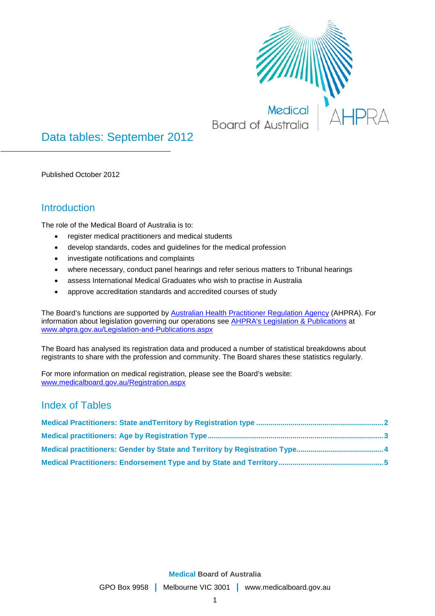

# Data tables: September 2012

Published October 2012

### **Introduction**

The role of the Medical Board of Australia is to:

- register medical practitioners and medical students
- develop standards, codes and guidelines for the medical profession
- investigate notifications and complaints
- where necessary, conduct panel hearings and refer serious matters to Tribunal hearings
- assess International Medical Graduates who wish to practise in Australia
- approve accreditation standards and accredited courses of study

The Board's functions are supported by [Australian Health Practitioner Regulation Agency](http://www.ahpra.gov.au/About-AHPRA/What-We-Do.aspx) (AHPRA). For information about legislation governing our operations see [AHPRA's Legislation & Publications](http://www.ahpra.gov.au/Legislation-and-Publications.aspx) at [www.ahpra.gov.au/Legislation-and-Publications.aspx](http://www.ahpra.gov.au/Legislation-and-Publications.aspx)

The Board has analysed its registration data and produced a number of statistical breakdowns about registrants to share with the profession and community. The Board shares these statistics regularly.

For more information on medical registration, please see the Board's website: [www.medicalboard.gov.au/Registration.aspx](http://www.medicalboard.gov.au/Registration.aspx)

#### Index of Tables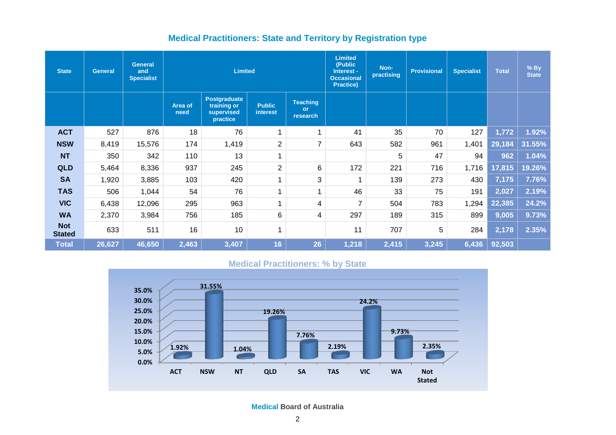### **Medical Practitioners: State and Territory by Registration type**

| <b>State</b>                | <b>General</b> | <b>General</b><br>and<br><b>Specialist</b> |                 | <b>Limited</b>                                               |                           |                                          | <b>Limited</b><br>(Public<br>Interest -<br><b>Occasional</b><br><b>Practice)</b> | Non-<br>practising | <b>Provisional</b> | <b>Specialist</b> | <b>Total</b> | $%$ By<br><b>State</b> |
|-----------------------------|----------------|--------------------------------------------|-----------------|--------------------------------------------------------------|---------------------------|------------------------------------------|----------------------------------------------------------------------------------|--------------------|--------------------|-------------------|--------------|------------------------|
|                             |                |                                            | Area of<br>need | <b>Postgraduate</b><br>training or<br>supervised<br>practice | <b>Public</b><br>interest | <b>Teaching</b><br><b>or</b><br>research |                                                                                  |                    |                    |                   |              |                        |
| <b>ACT</b>                  | 527            | 876                                        | 18              | 76                                                           | 1                         | 1                                        | 41                                                                               | 35                 | 70                 | 127               | 1,772        | 1.92%                  |
| <b>NSW</b>                  | 8,419          | 15,576                                     | 174             | 1,419                                                        | $\overline{2}$            | $\overline{7}$                           | 643                                                                              | 582                | 961                | 1,401             | 29,184       | 31.55%                 |
| <b>NT</b>                   | 350            | 342                                        | 110             | 13                                                           | 1                         |                                          |                                                                                  | 5                  | 47                 | 94                | 962          | 1.04%                  |
| <b>QLD</b>                  | 5,464          | 8,336                                      | 937             | 245                                                          | $\overline{2}$            | 6                                        | 172                                                                              | 221                | 716                | 1,716             | 17,815       | 19.26%                 |
| <b>SA</b>                   | 1,920          | 3,885                                      | 103             | 420                                                          | 1                         | 3                                        | 1                                                                                | 139                | 273                | 430               | 7,175        | 7.76%                  |
| <b>TAS</b>                  | 506            | 1,044                                      | 54              | 76                                                           | 4                         | $\overline{ }$                           | 46                                                                               | 33                 | 75                 | 191               | 2,027        | 2.19%                  |
| <b>VIC</b>                  | 6,438          | 12,096                                     | 295             | 963                                                          | 4                         | 4                                        | $\overline{7}$                                                                   | 504                | 783                | 1,294             | 22,385       | 24.2%                  |
| <b>WA</b>                   | 2,370          | 3,984                                      | 756             | 185                                                          | 6                         | 4                                        | 297                                                                              | 189                | 315                | 899               | 9,005        | 9.73%                  |
| <b>Not</b><br><b>Stated</b> | 633            | 511                                        | 16              | 10                                                           | 4                         |                                          | 11                                                                               | 707                | 5                  | 284               | 2,178        | 2.35%                  |
| <b>Total</b>                | 26,627         | 46,650                                     | 2,463           | 3,407                                                        | 16                        | 26                                       | 1,218                                                                            | 2,415              | 3,245              | 6,436             | 92,503       |                        |

#### **Medical Practitioners: % by State**

<span id="page-1-0"></span>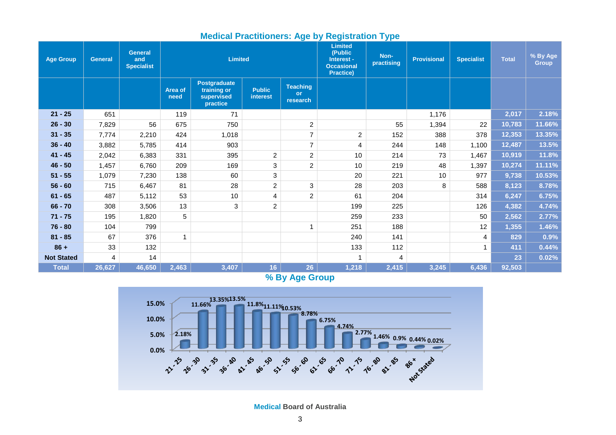| Age Group         | <b>General</b> | <b>General</b><br>and<br><b>Specialist</b> |                 | <b>Limited</b>                                               |                                  |                                          | <b>Limited</b><br>(Public<br>Interest -<br><b>Occasional</b><br>Practice) | <u>. . </u><br>Non-<br>practising | <b>Provisional</b> | <b>Specialist</b> | <b>Total</b> | % By Age<br><b>Group</b> |
|-------------------|----------------|--------------------------------------------|-----------------|--------------------------------------------------------------|----------------------------------|------------------------------------------|---------------------------------------------------------------------------|-----------------------------------|--------------------|-------------------|--------------|--------------------------|
|                   |                |                                            | Area of<br>need | <b>Postgraduate</b><br>training or<br>supervised<br>practice | <b>Public</b><br><b>interest</b> | <b>Teaching</b><br><b>or</b><br>research |                                                                           |                                   |                    |                   |              |                          |
| $21 - 25$         | 651            |                                            | 119             | 71                                                           |                                  |                                          |                                                                           |                                   | 1,176              |                   | 2,017        | 2.18%                    |
| $26 - 30$         | 7,829          | 56                                         | 675             | 750                                                          |                                  | $\overline{2}$                           |                                                                           | 55                                | 1,394              | 22                | 10,783       | 11.66%                   |
| $31 - 35$         | 7,774          | 2,210                                      | 424             | 1,018                                                        |                                  | $\overline{7}$                           | $\overline{c}$                                                            | 152                               | 388                | 378               | 12,353       | 13.35%                   |
| $36 - 40$         | 3,882          | 5,785                                      | 414             | 903                                                          |                                  | $\overline{7}$                           | 4                                                                         | 244                               | 148                | 1,100             | 12,487       | 13.5%                    |
| $41 - 45$         | 2,042          | 6,383                                      | 331             | 395                                                          | $\overline{c}$                   | $\overline{2}$                           | 10                                                                        | 214                               | 73                 | 1,467             | 10,919       | 11.8%                    |
| $46 - 50$         | 1,457          | 6,760                                      | 209             | 169                                                          | 3                                | $\overline{c}$                           | 10                                                                        | 219                               | 48                 | 1,397             | 10,274       | 11.11%                   |
| $51 - 55$         | 1,079          | 7,230                                      | 138             | 60                                                           | 3                                |                                          | 20                                                                        | 221                               | 10                 | 977               | 9,738        | 10.53%                   |
| $56 - 60$         | 715            | 6,467                                      | 81              | 28                                                           | $\overline{c}$                   | 3                                        | 28                                                                        | 203                               | 8                  | 588               | 8,123        | 8.78%                    |
| $61 - 65$         | 487            | 5,112                                      | 53              | 10                                                           | 4                                | $\overline{c}$                           | 61                                                                        | 204                               |                    | 314               | 6,247        | 6.75%                    |
| $66 - 70$         | 308            | 3,506                                      | 13              | 3                                                            | $\overline{c}$                   |                                          | 199                                                                       | 225                               |                    | 126               | 4,382        | 4.74%                    |
| $71 - 75$         | 195            | 1,820                                      | 5               |                                                              |                                  |                                          | 259                                                                       | 233                               |                    | 50                | 2,562        | 2.77%                    |
| $76 - 80$         | 104            | 799                                        |                 |                                                              |                                  | 1                                        | 251                                                                       | 188                               |                    | 12                | 1,355        | 1.46%                    |
| $81 - 85$         | 67             | 376                                        | 1               |                                                              |                                  |                                          | 240                                                                       | 141                               |                    | 4                 | 829          | 0.9%                     |
| $86 +$            | 33             | 132                                        |                 |                                                              |                                  |                                          | 133                                                                       | 112                               |                    |                   | 411          | 0.44%                    |
| <b>Not Stated</b> | 4              | 14                                         |                 |                                                              |                                  |                                          |                                                                           | 4                                 |                    |                   | 23           | 0.02%                    |
| <b>Total</b>      | 26,627         | 46,650                                     | 2,463           | 3,407                                                        | 16                               | 26                                       | 1,218                                                                     | 2,415                             | 3,245              | 6,436             | 92,503       |                          |

#### **Medical Practitioners: Age by Registration Type**

**% By Age Group**

<span id="page-2-0"></span>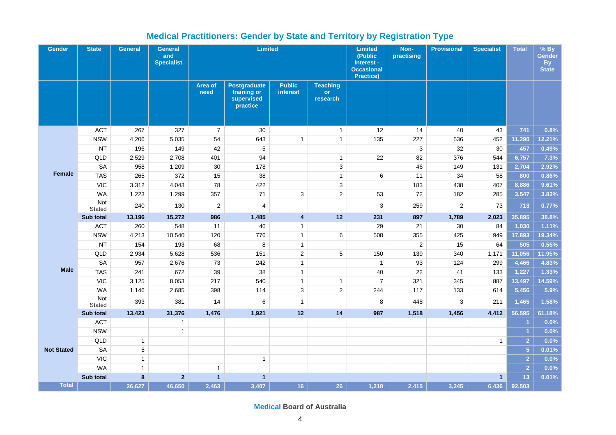<span id="page-3-0"></span>

| <b>Gender</b>     | <b>State</b>  | <b>General</b> | <b>General</b><br>and<br><b>Specialist</b> | <b>Limited</b>   |                                                              |                                  |                                   | <b>Limited</b><br>(Public<br>Interest -<br><b>Occasional</b><br><b>Practice)</b> | Non-<br>practising | <b>Provisional</b> | <b>Specialist</b> | <b>Total</b>         | $%$ By<br>Gender<br><b>By</b><br><b>State</b> |
|-------------------|---------------|----------------|--------------------------------------------|------------------|--------------------------------------------------------------|----------------------------------|-----------------------------------|----------------------------------------------------------------------------------|--------------------|--------------------|-------------------|----------------------|-----------------------------------------------|
|                   |               |                |                                            | Area of<br>need  | <b>Postgraduate</b><br>training or<br>supervised<br>practice | <b>Public</b><br><b>interest</b> | <b>Teaching</b><br>or<br>research |                                                                                  |                    |                    |                   |                      |                                               |
|                   | <b>ACT</b>    | 267            | 327                                        | $\overline{7}$   | 30                                                           |                                  | $\mathbf{1}$                      | 12                                                                               | 14                 | 40                 | 43                | 741                  | 0.8%                                          |
|                   | <b>NSW</b>    | 4,206          | 5,035                                      | 54               | 643                                                          | $\mathbf{1}$                     | $\mathbf{1}$                      | 135                                                                              | 227                | 536                | 452               | 11,290               | 12.21%                                        |
|                   | <b>NT</b>     | 196            | 149                                        | 42               | $\mathbf 5$                                                  |                                  |                                   |                                                                                  | $\mathbf{3}$       | 32                 | 30                | 457                  | 0.49%                                         |
|                   | QLD           | 2,529          | 2,708                                      | 401              | 94                                                           |                                  | $\mathbf{1}$                      | 22                                                                               | 82                 | 376                | 544               | 6,757                | 7.3%                                          |
|                   | <b>SA</b>     | 958            | 1,209                                      | 30               | 178                                                          |                                  | $\sqrt{3}$                        |                                                                                  | 46                 | 149                | 131               | 2,704                | 2.92%                                         |
| Female            | <b>TAS</b>    | 265            | 372                                        | 15               | 38                                                           |                                  | $\mathbf{1}$                      | 6                                                                                | 11                 | 34                 | 58                | 800                  | 0.86%                                         |
|                   | <b>VIC</b>    | 3,312          | 4,043                                      | 78               | 422                                                          |                                  | 3                                 |                                                                                  | 183                | 438                | 407               | 8,886                | 9.61%                                         |
|                   | <b>WA</b>     | 1,223          | 1,299                                      | 357              | 71                                                           | 3                                | $\overline{2}$                    | 53                                                                               | 72                 | 182                | 285               | 3,547                | 3.83%                                         |
|                   | Not<br>Stated | 240            | 130                                        | $\boldsymbol{2}$ | $\overline{\mathbf{4}}$                                      |                                  |                                   | 3                                                                                | 259                | $\overline{c}$     | 73                | 713                  | 0.77%                                         |
|                   | Sub total     | 13,196         | 15,272                                     | 986              | 1,485                                                        | $\overline{4}$                   | 12                                | 231                                                                              | 897                | 1,789              | 2,023             | 35,895               | 38.8%                                         |
|                   | <b>ACT</b>    | 260            | 548                                        | 11               | 46                                                           | $\mathbf{1}$                     |                                   | 29                                                                               | 21                 | 30                 | 84                | 1,030                | 1.11%                                         |
|                   | <b>NSW</b>    | 4,213          | 10,540                                     | 120              | 776                                                          | $\mathbf{1}$                     | 6                                 | 508                                                                              | 355                | 425                | 949               | 17,893               | 19.34%                                        |
|                   | <b>NT</b>     | 154            | 193                                        | 68               | 8                                                            | $\mathbf{1}$                     |                                   |                                                                                  | $\overline{c}$     | 15                 | 64                | 505                  | 0.55%                                         |
|                   | QLD           | 2,934          | 5,628                                      | 536              | 151                                                          | $\mathbf 2$                      | $\sqrt{5}$                        | 150                                                                              | 139                | 340                | 1,171             | 11,056               | 11.95%                                        |
|                   | <b>SA</b>     | 957            | 2,676                                      | 73               | 242                                                          | $\mathbf{1}$                     |                                   | $\overline{1}$                                                                   | 93                 | 124                | 299               | 4,466                | 4.83%                                         |
| <b>Male</b>       | <b>TAS</b>    | 241            | 672                                        | 39               | 38                                                           | $\mathbf{1}$                     |                                   | 40                                                                               | 22                 | 41                 | 133               | 1,227                | 1.33%                                         |
|                   | <b>VIC</b>    | 3,125          | 8,053                                      | 217              | 540                                                          | $\mathbf{1}$                     | $\mathbf{1}$                      | $\overline{7}$                                                                   | 321                | 345                | 887               | 13,497               | 14.59%                                        |
|                   | <b>WA</b>     | 1,146          | 2,685                                      | 398              | 114                                                          | $\mathbf{3}$                     | $\overline{2}$                    | 244                                                                              | 117                | 133                | 614               | 5,456                | 5.9%                                          |
|                   | Not<br>Stated | 393            | 381                                        | 14               | 6                                                            | $\mathbf{1}$                     |                                   | 8                                                                                | 448                | 3                  | 211               | 1,465                | 1.58%                                         |
|                   | Sub total     | 13,423         | 31,376                                     | 1,476            | 1,921                                                        | 12                               | 14                                | 987                                                                              | 1,518              | 1,456              | 4,412             | 56,595               | 61.18%                                        |
|                   | <b>ACT</b>    |                | $\mathbf{1}$                               |                  |                                                              |                                  |                                   |                                                                                  |                    |                    |                   | -1                   | 0.0%                                          |
|                   | <b>NSW</b>    |                | $\mathbf{1}$                               |                  |                                                              |                                  |                                   |                                                                                  |                    |                    |                   | $\blacktriangleleft$ | 0.0%                                          |
|                   | QLD           | $\mathbf{1}$   |                                            |                  |                                                              |                                  |                                   |                                                                                  |                    |                    | $\mathbf{1}$      | $\overline{2}$       | 0.0%                                          |
| <b>Not Stated</b> | <b>SA</b>     | $\sqrt{5}$     |                                            |                  |                                                              |                                  |                                   |                                                                                  |                    |                    |                   | $\overline{5}$       | 0.01%                                         |
|                   | <b>VIC</b>    | $\mathbf{1}$   |                                            |                  | $\mathbf{1}$                                                 |                                  |                                   |                                                                                  |                    |                    |                   | $\overline{2}$       | 0.0%                                          |
|                   | <b>WA</b>     | $\mathbf{1}$   |                                            | $\mathbf{1}$     |                                                              |                                  |                                   |                                                                                  |                    |                    |                   | $\overline{2}$       | 0.0%                                          |
|                   | Sub total     | 8              | $\overline{2}$                             | $\mathbf{1}$     | $\overline{1}$                                               |                                  |                                   |                                                                                  |                    |                    | $\mathbf{1}$      | 13                   | 0.01%                                         |
| <b>Total</b>      |               | 26,627         | 46,650                                     | $\sqrt{2,463}$   | 3,407                                                        | 16                               | 26                                | 1,218                                                                            | 2,415              | 3,245              | 6,436             | 92,503               |                                               |

## **Medical Practitioners: Gender by State and Territory by Registration Type**